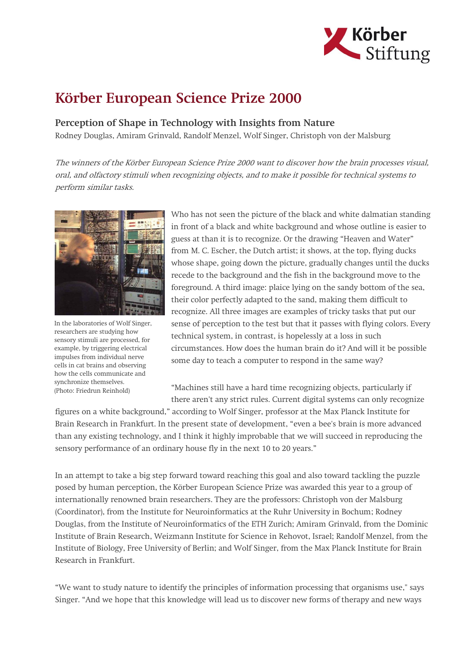

## Körber European Science Prize 2000

Perception of Shape in Technology with Insights from Nature Rodney Douglas, Amiram Grinvald, Randolf Menzel, Wolf Singer, Christoph von der Malsburg

The winners of the Körber European Science Prize 2000 want to discover how the brain processes visual, oral, and olfactory stimuli when recognizing objects, and to make it possible for technical systems to perform similar tasks.



In the laboratories of Wolf Singer, researchers are studying how sensory stimuli are processed, for example, by triggering electrical impulses from individual nerve cells in cat brains and observing how the cells communicate and synchronize themselves. (Photo: Friedrun Reinhold)

Who has not seen the picture of the black and white dalmatian standing in front of a black and white background and whose outline is easier to guess at than it is to recognize. Or the drawing "Heaven and Water" from M. C. Escher, the Dutch artist; it shows, at the top, flying ducks whose shape, going down the picture, gradually changes until the ducks recede to the background and the fish in the background move to the foreground. A third image: plaice lying on the sandy bottom of the sea, their color perfectly adapted to the sand, making them difficult to recognize. All three images are examples of tricky tasks that put our sense of perception to the test but that it passes with flying colors. Every technical system, in contrast, is hopelessly at a loss in such circumstances. How does the human brain do it? And will it be possible some day to teach a computer to respond in the same way?

"Machines still have a hard time recognizing objects, particularly if there aren't any strict rules. Current digital systems can only recognize

figures on a white background," according to Wolf Singer, professor at the Max Planck Institute for Brain Research in Frankfurt. In the present state of development, "even a bee's brain is more advanced than any existing technology, and I think it highly improbable that we will succeed in reproducing the sensory performance of an ordinary house fly in the next 10 to 20 years."

In an attempt to take a big step forward toward reaching this goal and also toward tackling the puzzle posed by human perception, the Körber European Science Prize was awarded this year to a group of internationally renowned brain researchers. They are the professors: Christoph von der Malsburg (Coordinator), from the Institute for Neuroinformatics at the Ruhr University in Bochum; Rodney Douglas, from the Institute of Neuroinformatics of the ETH Zurich; Amiram Grinvald, from the Dominic Institute of Brain Research, Weizmann Institute for Science in Rehovot, Israel; Randolf Menzel, from the Institute of Biology, Free University of Berlin; and Wolf Singer, from the Max Planck Institute for Brain Research in Frankfurt.

"We want to study nature to identify the principles of information processing that organisms use," says Singer. "And we hope that this knowledge will lead us to discover new forms of therapy and new ways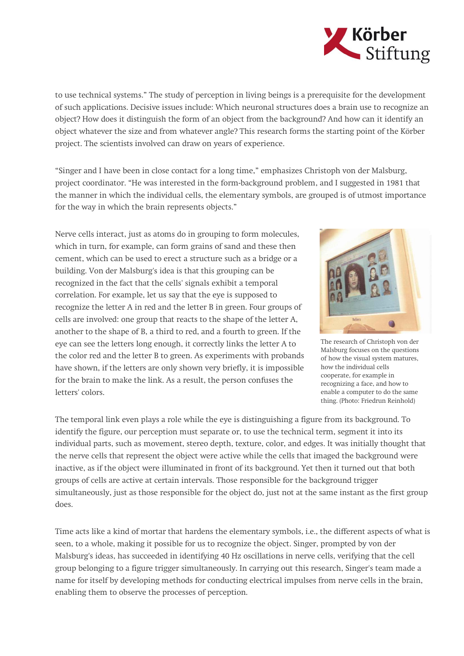

to use technical systems." The study of perception in living beings is a prerequisite for the development of such applications. Decisive issues include: Which neuronal structures does a brain use to recognize an object? How does it distinguish the form of an object from the background? And how can it identify an object whatever the size and from whatever angle? This research forms the starting point of the Körber project. The scientists involved can draw on years of experience.

"Singer and I have been in close contact for a long time," emphasizes Christoph von der Malsburg, project coordinator. "He was interested in the form-background problem, and I suggested in 1981 that the manner in which the individual cells, the elementary symbols, are grouped is of utmost importance for the way in which the brain represents objects."

Nerve cells interact, just as atoms do in grouping to form molecules, which in turn, for example, can form grains of sand and these then cement, which can be used to erect a structure such as a bridge or a building. Von der Malsburg's idea is that this grouping can be recognized in the fact that the cells' signals exhibit a temporal correlation. For example, let us say that the eye is supposed to recognize the letter A in red and the letter B in green. Four groups of cells are involved: one group that reacts to the shape of the letter A, another to the shape of B, a third to red, and a fourth to green. If the eye can see the letters long enough, it correctly links the letter A to the color red and the letter B to green. As experiments with probands have shown, if the letters are only shown very briefly, it is impossible for the brain to make the link. As a result, the person confuses the letters' colors.



The research of Christoph von der Malsburg focuses on the questions of how the visual system matures, how the individual cells cooperate, for example in recognizing a face, and how to enable a computer to do the same thing. (Photo: Friedrun Reinhold)

The temporal link even plays a role while the eye is distinguishing a figure from its background. To identify the figure, our perception must separate or, to use the technical term, segment it into its individual parts, such as movement, stereo depth, texture, color, and edges. It was initially thought that the nerve cells that represent the object were active while the cells that imaged the background were inactive, as if the object were illuminated in front of its background. Yet then it turned out that both groups of cells are active at certain intervals. Those responsible for the background trigger simultaneously, just as those responsible for the object do, just not at the same instant as the first group does.

Time acts like a kind of mortar that hardens the elementary symbols, i.e., the different aspects of what is seen, to a whole, making it possible for us to recognize the object. Singer, prompted by von der Malsburg's ideas, has succeeded in identifying 40 Hz oscillations in nerve cells, verifying that the cell group belonging to a figure trigger simultaneously. In carrying out this research, Singer's team made a name for itself by developing methods for conducting electrical impulses from nerve cells in the brain, enabling them to observe the processes of perception.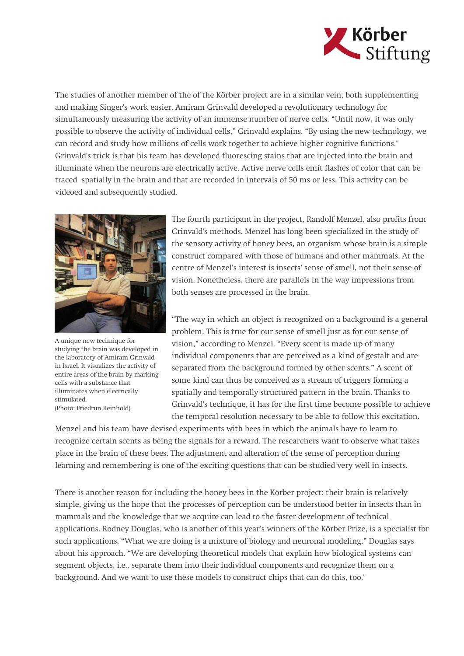

The studies of another member of the of the Körber project are in a similar vein, both supplementing and making Singer's work easier. Amiram Grinvald developed a revolutionary technology for simultaneously measuring the activity of an immense number of nerve cells. "Until now, it was only possible to observe the activity of individual cells," Grinvald explains. "By using the new technology, we can record and study how millions of cells work together to achieve higher cognitive functions." Grinvald's trick is that his team has developed fluorescing stains that are injected into the brain and illuminate when the neurons are electrically active. Active nerve cells emit flashes of color that can be traced spatially in the brain and that are recorded in intervals of 50 ms or less. This activity can be videoed and subsequently studied.



A unique new technique for studying the brain was developed in the laboratory of Amiram Grinvald in Israel. It visualizes the activity of entire areas of the brain by marking cells with a substance that illuminates when electrically stimulated. (Photo: Friedrun Reinhold)

The fourth participant in the project, Randolf Menzel, also profits from Grinvald's methods. Menzel has long been specialized in the study of the sensory activity of honey bees, an organism whose brain is a simple construct compared with those of humans and other mammals. At the centre of Menzel's interest is insects' sense of smell, not their sense of vision. Nonetheless, there are parallels in the way impressions from both senses are processed in the brain.

"The way in which an object is recognized on a background is a general problem. This is true for our sense of smell just as for our sense of vision," according to Menzel. "Every scent is made up of many individual components that are perceived as a kind of gestalt and are separated from the background formed by other scents." A scent of some kind can thus be conceived as a stream of triggers forming a spatially and temporally structured pattern in the brain. Thanks to Grinvald's technique, it has for the first time become possible to achieve the temporal resolution necessary to be able to follow this excitation.

Menzel and his team have devised experiments with bees in which the animals have to learn to recognize certain scents as being the signals for a reward. The researchers want to observe what takes place in the brain of these bees. The adjustment and alteration of the sense of perception during learning and remembering is one of the exciting questions that can be studied very well in insects.

There is another reason for including the honey bees in the Körber project: their brain is relatively simple, giving us the hope that the processes of perception can be understood better in insects than in mammals and the knowledge that we acquire can lead to the faster development of technical applications. Rodney Douglas, who is another of this year's winners of the Körber Prize, is a specialist for such applications. "What we are doing is a mixture of biology and neuronal modeling," Douglas says about his approach. "We are developing theoretical models that explain how biological systems can segment objects, i.e., separate them into their individual components and recognize them on a background. And we want to use these models to construct chips that can do this, too."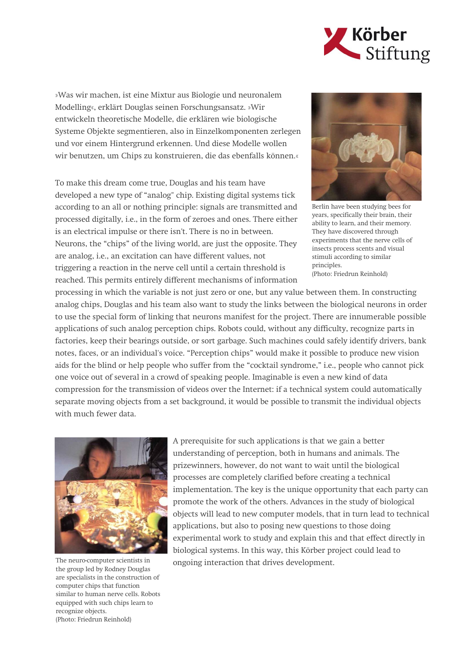

»Was wir machen, ist eine Mixtur aus Biologie und neuronalem Modelling«, erklärt Douglas seinen Forschungsansatz. »Wir entwickeln theoretische Modelle, die erklären wie biologische Systeme Objekte segmentieren, also in Einzelkomponenten zerlegen und vor einem Hintergrund erkennen. Und diese Modelle wollen wir benutzen, um Chips zu konstruieren, die das ebenfalls können.«

To make this dream come true, Douglas and his team have developed a new type of "analog" chip. Existing digital systems tick according to an all or nothing principle: signals are transmitted and processed digitally, i.e., in the form of zeroes and ones. There either is an electrical impulse or there isn't. There is no in between. Neurons, the "chips" of the living world, are just the opposite. They are analog, i.e., an excitation can have different values, not triggering a reaction in the nerve cell until a certain threshold is reached. This permits entirely different mechanisms of information



Berlin have been studying bees for years, specifically their brain, their ability to learn, and their memory. They have discovered through experiments that the nerve cells of insects process scents and visual stimuli according to similar principles. (Photo: Friedrun Reinhold)

processing in which the variable is not just zero or one, but any value between them. In constructing analog chips, Douglas and his team also want to study the links between the biological neurons in order to use the special form of linking that neurons manifest for the project. There are innumerable possible applications of such analog perception chips. Robots could, without any difficulty, recognize parts in factories, keep their bearings outside, or sort garbage. Such machines could safely identify drivers, bank notes, faces, or an individual's voice. "Perception chips" would make it possible to produce new vision aids for the blind or help people who suffer from the "cocktail syndrome," i.e., people who cannot pick one voice out of several in a crowd of speaking people. Imaginable is even a new kind of data compression for the transmission of videos over the Internet: if a technical system could automatically separate moving objects from a set background, it would be possible to transmit the individual objects with much fewer data.



The neuro-computer scientists in the group led by Rodney Douglas are specialists in the construction of computer chips that function similar to human nerve cells. Robots equipped with such chips learn to recognize objects. (Photo: Friedrun Reinhold)

A prerequisite for such applications is that we gain a better understanding of perception, both in humans and animals. The prizewinners, however, do not want to wait until the biological processes are completely clarified before creating a technical implementation. The key is the unique opportunity that each party can promote the work of the others. Advances in the study of biological objects will lead to new computer models, that in turn lead to technical applications, but also to posing new questions to those doing experimental work to study and explain this and that effect directly in biological systems. In this way, this Körber project could lead to ongoing interaction that drives development.